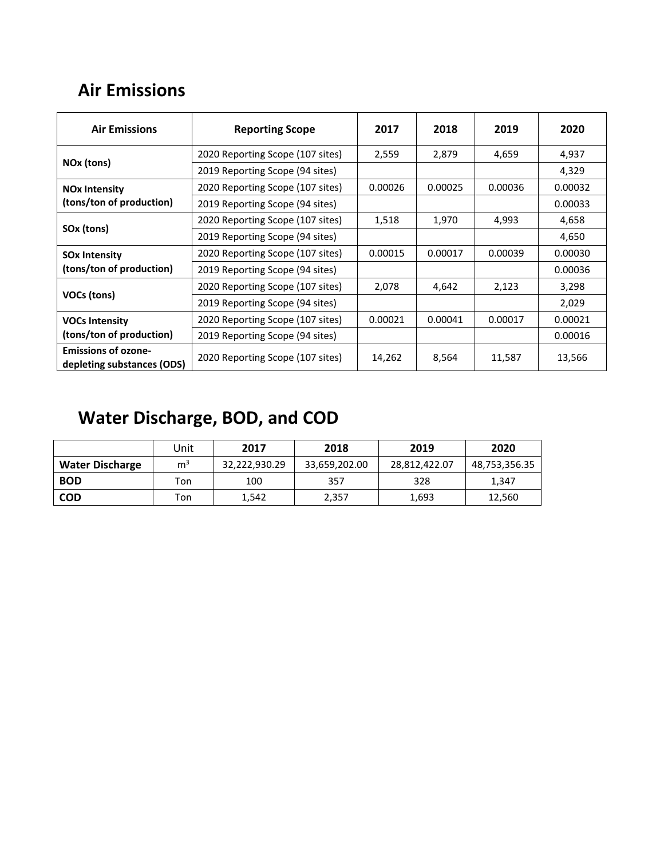## **Air Emissions**

| <b>Air Emissions</b><br><b>Reporting Scope</b>           |                                  | 2017    | 2018    | 2019    | 2020    |
|----------------------------------------------------------|----------------------------------|---------|---------|---------|---------|
| NOx (tons)                                               | 2020 Reporting Scope (107 sites) | 2,559   | 2,879   | 4,659   | 4,937   |
|                                                          | 2019 Reporting Scope (94 sites)  |         |         |         | 4,329   |
| <b>NO<sub>x</sub></b> Intensity                          | 2020 Reporting Scope (107 sites) | 0.00026 | 0.00025 | 0.00036 | 0.00032 |
| (tons/ton of production)                                 | 2019 Reporting Scope (94 sites)  |         |         |         | 0.00033 |
| SOx (tons)                                               | 2020 Reporting Scope (107 sites) | 1,518   | 1,970   | 4,993   | 4,658   |
|                                                          | 2019 Reporting Scope (94 sites)  |         |         |         | 4,650   |
| <b>SOx Intensity</b>                                     | 2020 Reporting Scope (107 sites) | 0.00015 | 0.00017 | 0.00039 | 0.00030 |
| (tons/ton of production)                                 | 2019 Reporting Scope (94 sites)  |         |         |         | 0.00036 |
| VOCs (tons)                                              | 2020 Reporting Scope (107 sites) | 2,078   | 4,642   | 2,123   | 3,298   |
|                                                          | 2019 Reporting Scope (94 sites)  |         |         |         | 2,029   |
| <b>VOCs Intensity</b>                                    | 2020 Reporting Scope (107 sites) | 0.00021 | 0.00041 | 0.00017 | 0.00021 |
| (tons/ton of production)                                 | 2019 Reporting Scope (94 sites)  |         |         |         | 0.00016 |
| <b>Emissions of ozone-</b><br>depleting substances (ODS) | 2020 Reporting Scope (107 sites) |         | 8,564   | 11,587  | 13,566  |

## **Water Discharge, BOD, and COD**

|                        | Jnit           | 2017          | 2018          | 2019          | 2020          |
|------------------------|----------------|---------------|---------------|---------------|---------------|
| <b>Water Discharge</b> | m <sup>3</sup> | 32,222,930.29 | 33,659,202.00 | 28,812,422.07 | 48,753,356.35 |
| <b>BOD</b>             | Ton            | 100           | 357           | 328           | 1,347         |
| <b>COD</b>             | Ton            | 1.542         | 2,357         | 1,693         | 12,560        |